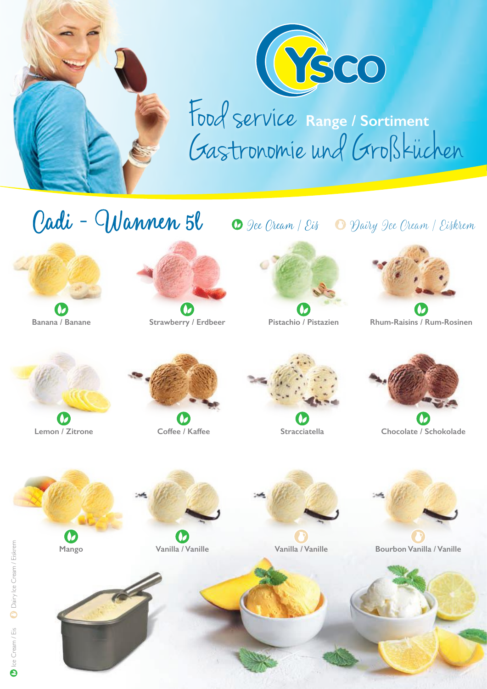



Food service Gastronomie und Großkuchen **Range / Sortiment** :

## O Dee Oream / Eis O Dairy Dee Oream / Eiskrem Cadi - Wannen 5l







**Banana / Banane Strawberry / Erdbeer Pistachio / Pistazien Rhum-Raisins / Rum-Rosinen**









**Lemon / Zitrone Coffee / Kaffee Stracciatella Chocolate / Schokolade** 

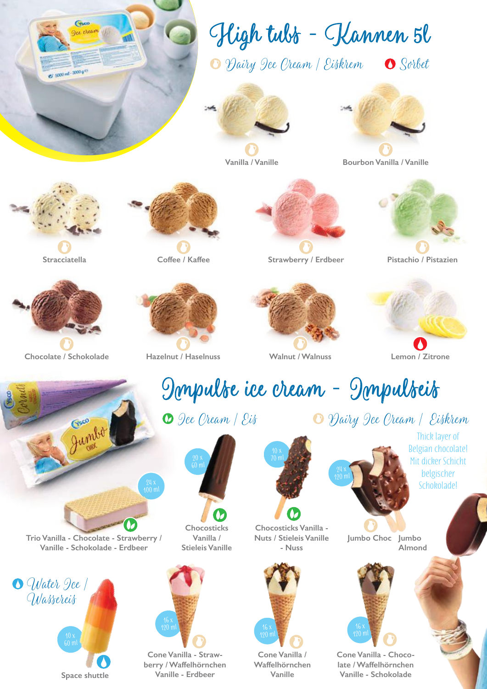

**Space shuttle**

**berry / Waffelhörnchen Vanille - Erdbeer**

**Waffelhörnchen Vanille**

**late / Waffelhörnchen Vanille - Schokolade**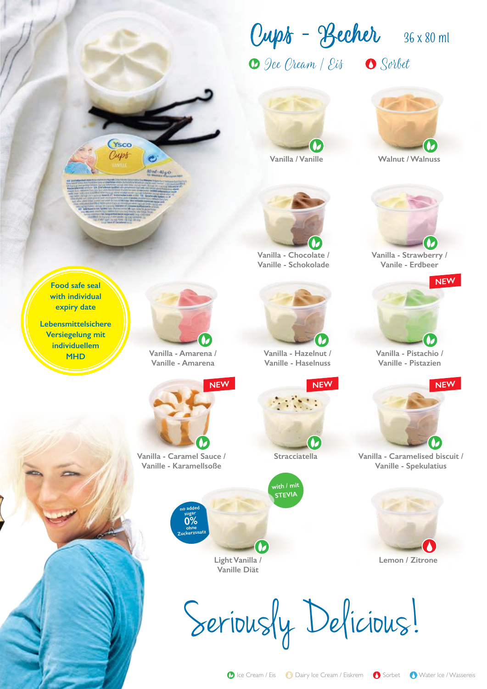Ice Cream / Eis Sorbet Cups - Becher **36 x 80 ml**



**Vanilla / Vanille**

**Vanilla - Chocolate / Vanille - Schokolade**



**Walnut / Walnuss**



**Vanilla - Strawberry / Vanile - Erdbeer**



**Vanilla - Pistachio / Vanille - Pistazien**



**Vanilla - Caramelised biscuit / Vanille - Spekulatius**



**Lemon / Zitrone**



**Food safe seal with individual expiry date**

**Ysco** Cupt

**Lebensmittelsichere Versiegelung mit individuellem**



**Vanille - Amarena**

**NEW**



**Vanilla - Caramel Sauce / Stracciatella**

**NEW**

67

**with / mit STEVIA**



**Vanille - Karamellsoße**

**Light Vanilla / Vanille Diät**